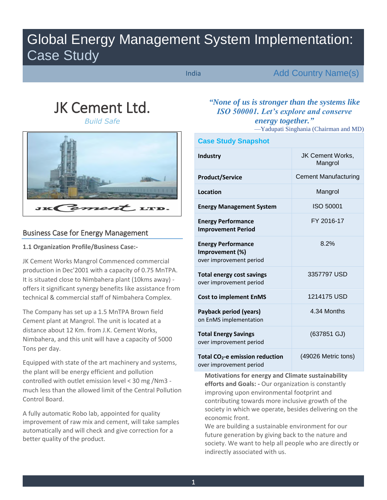# Global Energy Management System Implementation: Case Study

India

Add Country Name(s)

# JK Cement Ltd.

*Build Safe* 



## Business Case for Energy Management

**1.1 Organization Profile/Business Case:-** 

JK Cement Works Mangrol Commenced commercial production in Dec'2001 with a capacity of 0.75 MnTPA. It is situated close to Nimbahera plant (10kms away) offers it significant synergy benefits like assistance from technical & commercial staff of Nimbahera Complex.

The Company has set up a 1.5 MnTPA Brown field Cement plant at Mangrol. The unit is located at a distance about 12 Km. from J.K. Cement Works, Nimbahera, and this unit will have a capacity of 5000 Tons per day.

Equipped with state of the art machinery and systems, the plant will be energy efficient and pollution controlled with outlet emission level < 30 mg /Nm3 much less than the allowed limit of the Central Pollution Control Board.

A fully automatic Robo lab, appointed for quality improvement of raw mix and cement, will take samples automatically and will check and give correction for a better quality of the product.

# *"None of us is stronger than the systems like ISO 500001. Let's explore and conserve energy together."*

—Yadupati Singhania (Chairman and MD)

| <b>Case Study Snapshot</b>                                              |                                    |  |  |  |  |  |  |  |  |
|-------------------------------------------------------------------------|------------------------------------|--|--|--|--|--|--|--|--|
| <b>Industry</b>                                                         | <b>JK Cement Works,</b><br>Mangrol |  |  |  |  |  |  |  |  |
| <b>Product/Service</b>                                                  | <b>Cement Manufacturing</b>        |  |  |  |  |  |  |  |  |
| Location                                                                | Mangrol                            |  |  |  |  |  |  |  |  |
| <b>Energy Management System</b>                                         | ISO 50001                          |  |  |  |  |  |  |  |  |
| <b>Energy Performance</b><br><b>Improvement Period</b>                  | FY 2016-17                         |  |  |  |  |  |  |  |  |
| <b>Energy Performance</b><br>Improvement (%)<br>over improvement period | 8.2%                               |  |  |  |  |  |  |  |  |
| <b>Total energy cost savings</b><br>over improvement period             | 3357797 USD                        |  |  |  |  |  |  |  |  |
| <b>Cost to implement EnMS</b>                                           | 1214175 USD                        |  |  |  |  |  |  |  |  |
| Payback period (years)<br>on EnMS implementation                        | 4.34 Months                        |  |  |  |  |  |  |  |  |
| <b>Total Energy Savings</b><br>over improvement period                  | (637851 GJ)                        |  |  |  |  |  |  |  |  |
| Total CO <sub>2</sub> -e emission reduction<br>over improvement period  | (49026 Metric tons)                |  |  |  |  |  |  |  |  |

**Motivations for energy and Climate sustainability efforts and Goals: -** Our organization is constantly improving upon environmental footprint and contributing towards more inclusive growth of the society in which we operate, besides delivering on the economic front.

We are building a sustainable environment for our future generation by giving back to the nature and society. We want to help all people who are directly or indirectly associated with us.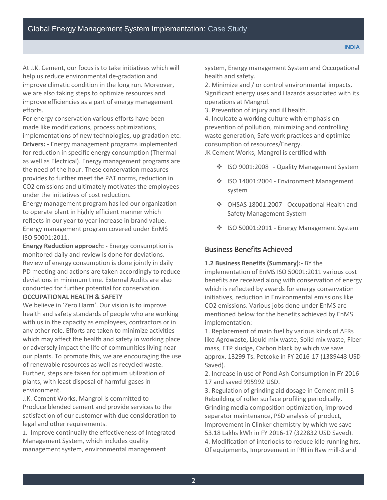At J.K. Cement, our focus is to take initiatives which will help us reduce environmental de-gradation and improve climatic condition in the long run. Moreover, we are also taking steps to optimize resources and improve efficiencies as a part of energy management efforts.

For energy conservation various efforts have been made like modifications, process optimizations, implementations of new technologies, up gradation etc. **Drivers: -** Energy management programs implemented for reduction in specific energy consumption (Thermal as well as Electrical). Energy management programs are the need of the hour. These conservation measures provides to further meet the PAT norms, reduction in CO2 emissions and ultimately motivates the employees under the initiatives of cost reduction.

Energy management program has led our organization to operate plant in highly efficient manner which reflects in our year to year increase in brand value. Energy management program covered under EnMS ISO 50001:2011.

**Energy Reduction approach: -** Energy consumption is monitored daily and review is done for deviations. Review of energy consumption is done jointly in daily PD meeting and actions are taken accordingly to reduce deviations in minimum time. External Audits are also conducted for further potential for conservation.

#### **OCCUPATIONAL HEALTH & SAFETY**

We believe in 'Zero Harm'. Our vision is to improve health and safety standards of people who are working with us in the capacity as employees, contractors or in any other role. Efforts are taken to minimize activities which may affect the health and safety in working place or adversely impact the life of communities living near our plants. To promote this, we are encouraging the use of renewable resources as well as recycled waste. Further, steps are taken for optimum utilization of plants, with least disposal of harmful gases in environment.

J.K. Cement Works, Mangrol is committed to - Produce blended cement and provide services to the satisfaction of our customer with due consideration to legal and other requirements.

1. Improve continually the effectiveness of Integrated Management System, which includes quality management system, environmental management

system, Energy management System and Occupational health and safety.

2. Minimize and / or control environmental impacts, Significant energy uses and Hazards associated with its operations at Mangrol.

3. Prevention of injury and ill health.

4. Inculcate a working culture with emphasis on prevention of pollution, minimizing and controlling waste generation, Safe work practices and optimize consumption of resources/Energy.

JK Cement Works, Mangrol is certified with

- ❖ ISO 9001:2008 Quality Management System
- ❖ ISO 14001:2004 Environment Management system
- OHSAS 18001:2007 Occupational Health and Safety Management System
- ❖ ISO 50001:2011 Energy Management System

#### Business Benefits Achieved

**1.2 Business Benefits (Summary):-** BY the implementation of EnMS ISO 50001:2011 various cost benefits are received along with conservation of energy which is reflected by awards for energy conservation initiatives, reduction in Environmental emissions like CO2 emissions. Various jobs done under EnMS are mentioned below for the benefits achieved by EnMS implementation:-

1. Replacement of main fuel by various kinds of AFRs like Agrowaste, Liquid mix waste, Solid mix waste, Fiber mass, ETP sludge, Carbon black by which we save approx. 13299 Ts. Petcoke in FY 2016-17 (1389443 USD Saved).

2. Increase in use of Pond Ash Consumption in FY 2016- 17 and saved 995992 USD.

3. Regulation of grinding aid dosage in Cement mill-3 Rebuilding of roller surface profiling periodically, Grinding media composition optimization, improved separator maintenance, PSD analysis of product, Improvement in Clinker chemistry by which we save 53.18 Lakhs kWh in FY 2016-17 (322832 USD Saved). 4. Modification of interlocks to reduce idle running hrs. Of equipments, Improvement in PRI in Raw mill-3 and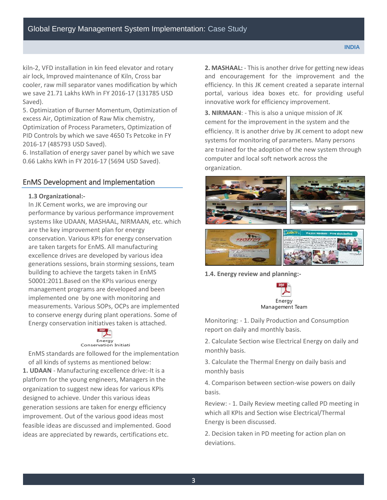kiln-2, VFD installation in kin feed elevator and rotary air lock, Improved maintenance of Kiln, Cross bar cooler, raw mill separator vanes modification by which we save 21.71 Lakhs kWh in FY 2016-17 (131785 USD Saved).

5. Optimization of Burner Momentum, Optimization of excess Air, Optimization of Raw Mix chemistry, Optimization of Process Parameters, Optimization of PID Controls by which we save 4650 Ts Petcoke in FY 2016-17 (485793 USD Saved).

6. Installation of energy saver panel by which we save 0.66 Lakhs kWh in FY 2016-17 (5694 USD Saved).

### EnMS Development and Implementation

#### **1.3 Organizational:-**

In JK Cement works, we are improving our performance by various performance improvement systems like UDAAN, MASHAAL, NIRMAAN, etc. which are the key improvement plan for energy conservation. Various KPIs for energy conservation are taken targets for EnMS. All manufacturing excellence drives are developed by various idea generations sessions, brain storming sessions, team building to achieve the targets taken in EnMS 50001:2011.Based on the KPIs various energy management programs are developed and been implemented one by one with monitoring and measurements. Various SOPs, OCPs are implemented to conserve energy during plant operations. Some of Energy conservation initiatives taken is attached.



# Energy<br>Conservation Initiati

EnMS standards are followed for the implementation of all kinds of systems as mentioned below: **1. UDAAN** - Manufacturing excellence drive:-It is a platform for the young engineers, Managers in the organization to suggest new ideas for various KPIs designed to achieve. Under this various ideas generation sessions are taken for energy efficiency improvement. Out of the various good ideas most feasible ideas are discussed and implemented. Good

ideas are appreciated by rewards, certifications etc.

**2. MASHAAL:** - This is another drive for getting new ideas and encouragement for the improvement and the efficiency. In this JK cement created a separate internal portal, various idea boxes etc. for providing useful innovative work for efficiency improvement.

**3. NIRMAAN**: - This is also a unique mission of JK cement for the improvement in the system and the efficiency. It is another drive by JK cement to adopt new systems for monitoring of parameters. Many persons are trained for the adoption of the new system through computer and local soft network across the organization.



**1.4. Energy review and planning:-** 



Monitoring: - 1. Daily Production and Consumption report on daily and monthly basis.

2. Calculate Section wise Electrical Energy on daily and monthly basis.

3. Calculate the Thermal Energy on daily basis and monthly basis

4. Comparison between section-wise powers on daily basis.

Review: - 1. Daily Review meeting called PD meeting in which all KPIs and Section wise Electrical/Thermal Energy is been discussed.

2. Decision taken in PD meeting for action plan on deviations.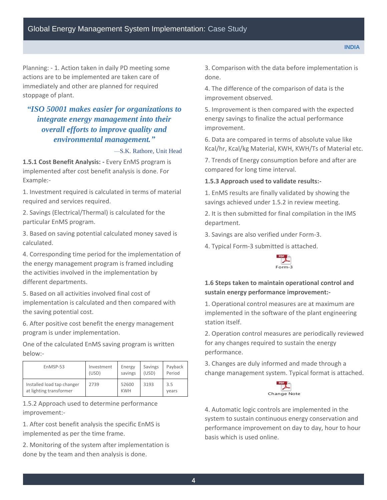Planning: - 1. Action taken in daily PD meeting some actions are to be implemented are taken care of immediately and other are planned for required stoppage of plant.

# *"ISO 50001 makes easier for organizations to integrate energy management into their overall efforts to improve quality and environmental management."*

—S.K. Rathore, Unit Head

**1.5.1 Cost Benefit Analysis: -** Every EnMS program is implemented after cost benefit analysis is done. For Example:-

1. Investment required is calculated in terms of material required and services required.

2. Savings (Electrical/Thermal) is calculated for the particular EnMS program.

3. Based on saving potential calculated money saved is calculated.

4. Corresponding time period for the implementation of the energy management program is framed including the activities involved in the implementation by different departments.

5. Based on all activities involved final cost of implementation is calculated and then compared with the saving potential cost.

6. After positive cost benefit the energy management program is under implementation.

One of the calculated EnMS saving program is written below:-

| EnMSP-53                                              | Investment | Energy              | Savings | Payback      |
|-------------------------------------------------------|------------|---------------------|---------|--------------|
|                                                       | (USD)      | savings             | (USD)   | Period       |
| Installed load tap changer<br>at lighting transformer | 2739       | 52600<br><b>KWH</b> | 3193    | 3.5<br>vears |

1.5.2 Approach used to determine performance improvement:-

1. After cost benefit analysis the specific EnMS is implemented as per the time frame.

2. Monitoring of the system after implementation is done by the team and then analysis is done.

3. Comparison with the data before implementation is done.

4. The difference of the comparison of data is the improvement observed.

5. Improvement is then compared with the expected energy savings to finalize the actual performance improvement.

6. Data are compared in terms of absolute value like Kcal/hr, Kcal/kg Material, KWH, KWH/Ts of Material etc.

7. Trends of Energy consumption before and after are compared for long time interval.

#### **1.5.3 Approach used to validate results:-**

1. EnMS results are finally validated by showing the savings achieved under 1.5.2 in review meeting.

2. It is then submitted for final compilation in the IMS department.

3. Savings are also verified under Form-3.

4. Typical Form-3 submitted is attached.



### **1.6 Steps taken to maintain operational control and sustain energy performance improvement:-**

1. Operational control measures are at maximum are implemented in the software of the plant engineering station itself.

2. Operation control measures are periodically reviewed for any changes required to sustain the energy performance.

3. Changes are duly informed and made through a change management system. Typical format is attached.



4. Automatic logic controls are implemented in the system to sustain continuous energy conservation and performance improvement on day to day, hour to hour basis which is used online.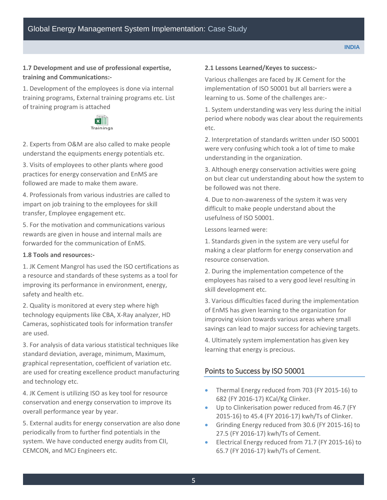## **1.7 Development and use of professional expertise, training and Communications:-**

1. Development of the employees is done via internal training programs, External training programs etc. List of training program is attached



2. Experts from O&M are also called to make people understand the equipments energy potentials etc.

3. Visits of employees to other plants where good practices for energy conservation and EnMS are followed are made to make them aware.

4. Professionals from various industries are called to impart on job training to the employees for skill transfer, Employee engagement etc.

5. For the motivation and communications various rewards are given in house and internal mails are forwarded for the communication of EnMS.

#### **1.8 Tools and resources:-**

1. JK Cement Mangrol has used the ISO certifications as a resource and standards of these systems as a tool for improving its performance in environment, energy, safety and health etc.

2. Quality is monitored at every step where high technology equipments like CBA, X-Ray analyzer, HD Cameras, sophisticated tools for information transfer are used.

3. For analysis of data various statistical techniques like standard deviation, average, minimum, Maximum, graphical representation, coefficient of variation etc. are used for creating excellence product manufacturing and technology etc.

4. JK Cement is utilizing ISO as key tool for resource conservation and energy conservation to improve its overall performance year by year.

5. External audits for energy conservation are also done periodically from to further find potentials in the system. We have conducted energy audits from CII, CEMCON, and MCJ Engineers etc.

#### **2.1 Lessons Learned/Keyes to success:-**

Various challenges are faced by JK Cement for the implementation of ISO 50001 but all barriers were a learning to us. Some of the challenges are:-

1. System understanding was very less during the initial period where nobody was clear about the requirements etc.

2. Interpretation of standards written under ISO 50001 were very confusing which took a lot of time to make understanding in the organization.

3. Although energy conservation activities were going on but clear cut understanding about how the system to be followed was not there.

4. Due to non-awareness of the system it was very difficult to make people understand about the usefulness of ISO 50001.

Lessons learned were:

1. Standards given in the system are very useful for making a clear platform for energy conservation and resource conservation.

2. During the implementation competence of the employees has raised to a very good level resulting in skill development etc.

3. Various difficulties faced during the implementation of EnMS has given learning to the organization for improving vision towards various areas where small savings can lead to major success for achieving targets.

4. Ultimately system implementation has given key learning that energy is precious.

## Points to Success by ISO 50001

- Thermal Energy reduced from 703 (FY 2015-16) to 682 (FY 2016-17) KCal/Kg Clinker.
- Up to Clinkerisation power reduced from 46.7 (FY 2015-16) to 45.4 (FY 2016-17) kwh/Ts of Clinker.
- Grinding Energy reduced from 30.6 (FY 2015-16) to 27.5 (FY 2016-17) kwh/Ts of Cement.
- Electrical Energy reduced from 71.7 (FY 2015-16) to 65.7 (FY 2016-17) kwh/Ts of Cement.